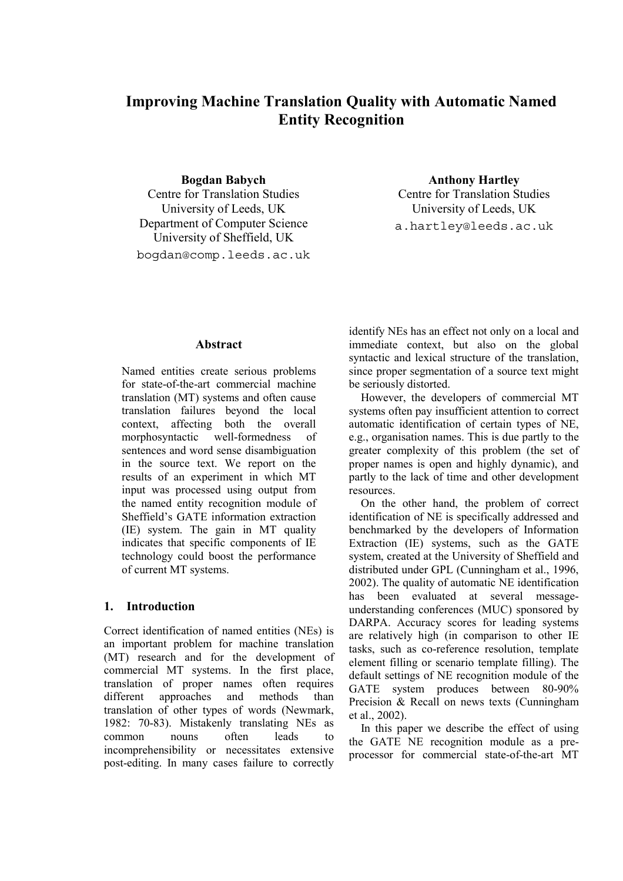# **Improving Machine Translation Quality with Automatic Named Entity Recognition**

**Bogdan Babych** Centre for Translation Studies University of Leeds, UK Department of Computer Science University of Sheffield, UK bogdan@comp.leeds.ac.uk

**Anthony Hartley** Centre for Translation Studies University of Leeds, UK a.hartley@leeds.ac.uk

# **Abstract**

Named entities create serious problems for state-of-the-art commercial machine translation (MT) systems and often cause translation failures beyond the local context, affecting both the overall morphosyntactic well-formedness of sentences and word sense disambiguation in the source text. We report on the results of an experiment in which MT input was processed using output from the named entity recognition module of Sheffield's GATE information extraction (IE) system. The gain in MT quality indicates that specific components of IE technology could boost the performance of current MT systems.

#### **1. Introduction**

Correct identification of named entities (NEs) is an important problem for machine translation (MT) research and for the development of commercial MT systems. In the first place, translation of proper names often requires different approaches and methods than translation of other types of words (Newmark, 1982: 70-83). Mistakenly translating NEs as common nouns often leads to incomprehensibility or necessitates extensive post-editing. In many cases failure to correctly identify NEs has an effect not only on a local and immediate context, but also on the global syntactic and lexical structure of the translation, since proper segmentation of a source text might be seriously distorted.

However, the developers of commercial MT systems often pay insufficient attention to correct automatic identification of certain types of NE, e.g., organisation names. This is due partly to the greater complexity of this problem (the set of proper names is open and highly dynamic), and partly to the lack of time and other development resources.

On the other hand, the problem of correct identification of NE is specifically addressed and benchmarked by the developers of Information Extraction (IE) systems, such as the GATE system, created at the University of Sheffield and distributed under GPL (Cunningham et al., 1996, 2002). The quality of automatic NE identification has been evaluated at several messageunderstanding conferences (MUC) sponsored by DARPA. Accuracy scores for leading systems are relatively high (in comparison to other IE tasks, such as co-reference resolution, template element filling or scenario template filling). The default settings of NE recognition module of the GATE system produces between 80-90% Precision & Recall on news texts (Cunningham et al., 2002).

In this paper we describe the effect of using the GATE NE recognition module as a preprocessor for commercial state-of-the-art MT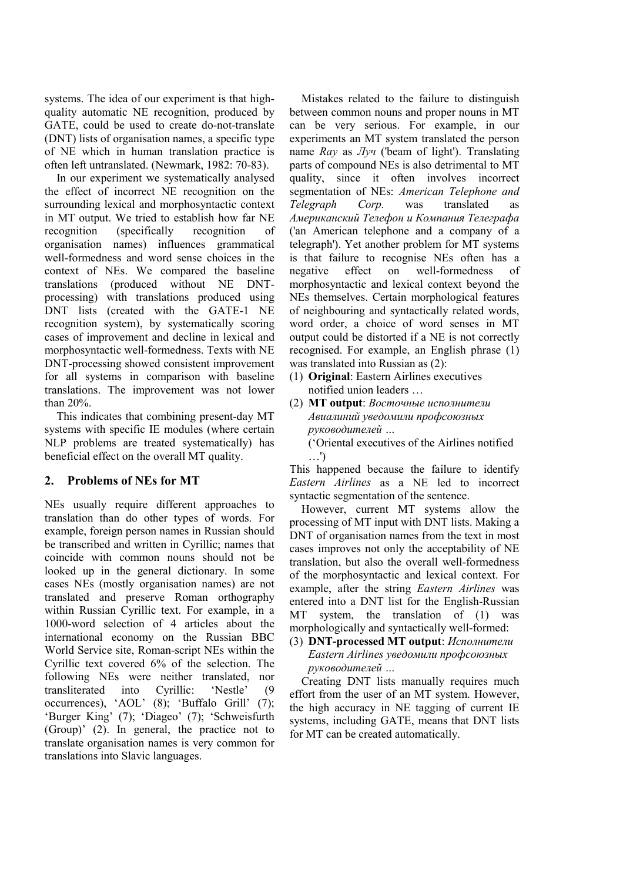systems. The idea of our experiment is that highquality automatic NE recognition, produced by GATE, could be used to create do-not-translate (DNT) lists of organisation names, a specific type of NE which in human translation practice is often left untranslated. (Newmark, 1982: 70-83).

In our experiment we systematically analysed the effect of incorrect NE recognition on the surrounding lexical and morphosyntactic context in MT output. We tried to establish how far NE recognition (specifically recognition of organisation names) influences grammatical well-formedness and word sense choices in the context of NEs. We compared the baseline translations (produced without NE DNTprocessing) with translations produced using DNT lists (created with the GATE-1 NE recognition system), by systematically scoring cases of improvement and decline in lexical and morphosyntactic well-formedness. Texts with NE DNT-processing showed consistent improvement for all systems in comparison with baseline translations. The improvement was not lower than 20%.

This indicates that combining present-day MT systems with specific IE modules (where certain NLP problems are treated systematically) has beneficial effect on the overall MT quality.

### **2. Problems of NEs for MT**

NEs usually require different approaches to translation than do other types of words. For example, foreign person names in Russian should be transcribed and written in Cyrillic; names that coincide with common nouns should not be looked up in the general dictionary. In some cases NEs (mostly organisation names) are not translated and preserve Roman orthography within Russian Cyrillic text. For example, in a 1000-word selection of 4 articles about the international economy on the Russian BBC World Service site, Roman-script NEs within the Cyrillic text covered 6% of the selection. The following NEs were neither translated, nor transliterated into Cyrillic: 'Nestle' (9 occurrences), 'AOL' (8); 'Buffalo Grill' (7); 'Burger King' (7); 'Diageo' (7); 'Schweisfurth (Group)' (2). In general, the practice not to translate organisation names is very common for translations into Slavic languages.

Mistakes related to the failure to distinguish between common nouns and proper nouns in MT can be very serious. For example, in our experiments an MT system translated the person name *Ray* as *Луч* ('beam of light'). Translating parts of compound NEs is also detrimental to MT quality, since it often involves incorrect segmentation of NEs: *American Telephone and Telegraph Corp.* was translated as *Американский Телефон и Компания Телеграфа* ('an American telephone and a company of a telegraph'). Yet another problem for MT systems is that failure to recognise NEs often has a negative effect on well-formedness of morphosyntactic and lexical context beyond the NEs themselves. Certain morphological features of neighbouring and syntactically related words, word order, a choice of word senses in MT output could be distorted if a NE is not correctly recognised. For example, an English phrase (1) was translated into Russian as (2):

- (1) **Original**: Eastern Airlines executives notified union leaders …
- (2) **MT output**: *Восточные исполнители Авиалиний уведомили профсоюзных руководителей …*
	- ('Oriental executives of the Airlines notified …')

This happened because the failure to identify *Eastern Airlines* as a NE led to incorrect syntactic segmentation of the sentence.

However, current MT systems allow the processing of MT input with DNT lists. Making a DNT of organisation names from the text in most cases improves not only the acceptability of NE translation, but also the overall well-formedness of the morphosyntactic and lexical context. For example, after the string *Eastern Airlines* was entered into a DNT list for the English-Russian MT system, the translation of (1) was morphologically and syntactically well-formed:

#### (3) **DNT-processed MT output**: *Исполнители Eastern Airlines уведомили профсоюзных руководителей …*

Creating DNT lists manually requires much effort from the user of an MT system. However, the high accuracy in NE tagging of current IE systems, including GATE, means that DNT lists for MT can be created automatically.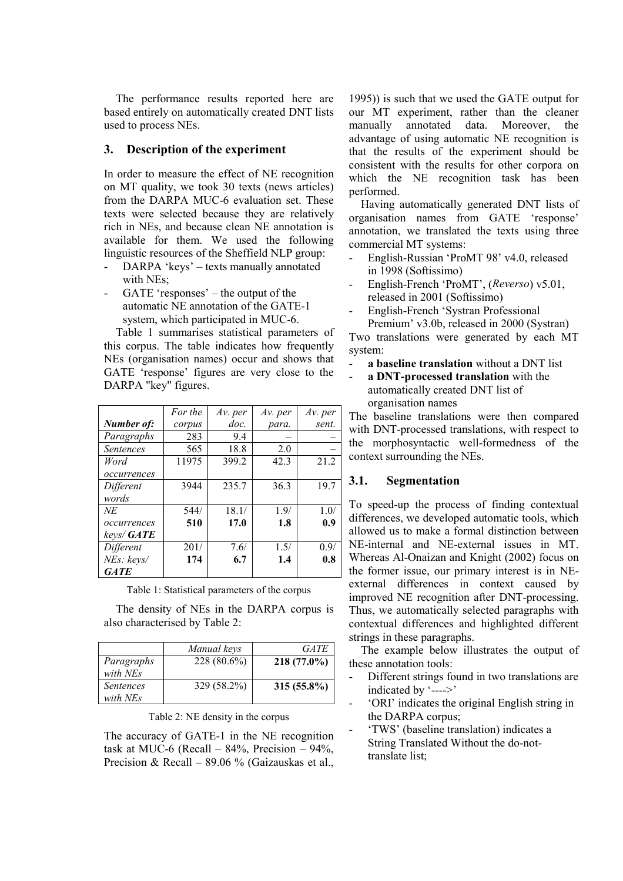The performance results reported here are based entirely on automatically created DNT lists used to process NEs.

### **3. Description of the experiment**

In order to measure the effect of NE recognition on MT quality, we took 30 texts (news articles) from the DARPA MUC-6 evaluation set. These texts were selected because they are relatively rich in NEs, and because clean NE annotation is available for them. We used the following linguistic resources of the Sheffield NLP group:

- DARPA 'keys' texts manually annotated with NEs;
- GATE 'responses' the output of the automatic NE annotation of the GATE-1 system, which participated in MUC-6.

Table 1 summarises statistical parameters of this corpus. The table indicates how frequently NEs (organisation names) occur and shows that GATE 'response' figures are very close to the DARPA "key" figures.

|                  | For the | Av. per | Av. per | Av. per |
|------------------|---------|---------|---------|---------|
| Number of:       | corpus  | doc.    | para.   | sent.   |
| Paragraphs       | 283     | 9.4     |         |         |
| <i>Sentences</i> | 565     | 18.8    | 2.0     |         |
| Word             | 11975   | 399.2   | 42.3    | 21.2    |
| occurrences      |         |         |         |         |
| Different        | 3944    | 235.7   | 36.3    | 19.7    |
| words            |         |         |         |         |
| NE               | 544/    | 18.1/   | 1.9/    | 1.0/    |
| occurrences      | 510     | 17.0    | 1.8     | 0.9     |
| keys/GATE        |         |         |         |         |
| Different        | 201/    | 7.6/    | 1.5/    | 0.9/    |
| NEs: keys/       | 174     | 6.7     | 1.4     | 0.8     |
| <b>GATE</b>      |         |         |         |         |

Table 1: Statistical parameters of the corpus

The density of NEs in the DARPA corpus is also characterised by Table 2:

|                  | Manual keys   | <b>GATE</b>   |
|------------------|---------------|---------------|
| Paragraphs       | $228(80.6\%)$ | $218(77.0\%)$ |
| with NEs         |               |               |
| <i>Sentences</i> | 329 (58.2%)   | $315(55.8\%)$ |
| with NEs         |               |               |

Table 2: NE density in the corpus

The accuracy of GATE-1 in the NE recognition task at MUC-6 (Recall –  $84\%$ , Precision –  $94\%$ , Precision & Recall – 89.06 % (Gaizauskas et al.,

1995)) is such that we used the GATE output for our MT experiment, rather than the cleaner manually annotated data. Moreover, the advantage of using automatic NE recognition is that the results of the experiment should be consistent with the results for other corpora on which the NE recognition task has been performed.

Having automatically generated DNT lists of organisation names from GATE 'response' annotation, we translated the texts using three commercial MT systems:

- English-Russian 'ProMT 98' v4.0, released in 1998 (Softissimo)
- English-French 'ProMT', (*Reverso*) v5.01, released in 2001 (Softissimo)
- English-French 'Systran Professional Premium' v3.0b, released in 2000 (Systran)

Two translations were generated by each MT system:

- **a baseline translation** without a DNT list
- **a DNT-processed translation** with the automatically created DNT list of organisation names

The baseline translations were then compared with DNT-processed translations, with respect to the morphosyntactic well-formedness of the context surrounding the NEs.

# **3.1. Segmentation**

To speed-up the process of finding contextual differences, we developed automatic tools, which allowed us to make a formal distinction between NE-internal and NE-external issues in MT. Whereas Al-Onaizan and Knight (2002) focus on the former issue, our primary interest is in NEexternal differences in context caused by improved NE recognition after DNT-processing. Thus, we automatically selected paragraphs with contextual differences and highlighted different strings in these paragraphs.

The example below illustrates the output of these annotation tools:

- Different strings found in two translations are indicated by '---->'
- 'ORI' indicates the original English string in the DARPA corpus;
- 'TWS' (baseline translation) indicates a String Translated Without the do-nottranslate list;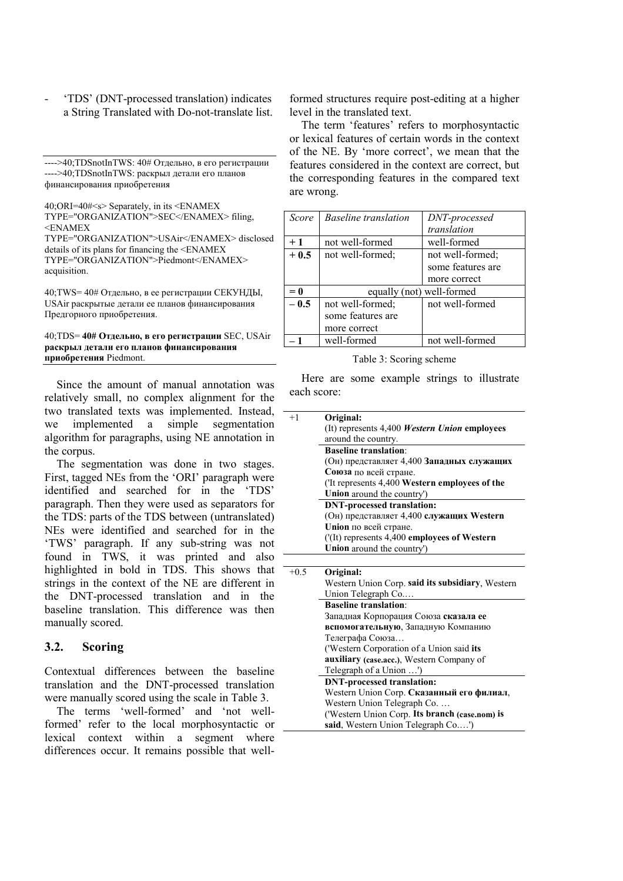- 'TDS' (DNT-processed translation) indicates a String Translated with Do-not-translate list.

---->40;TDSnotInTWS: 40# Отдельно, в его регистрации ---->40;TDSnotInTWS: раскрыл детали его планов финансирования приобретения

40;ORI=40#<s> Separately, in its <ENAMEX TYPE="ORGANIZATION">SEC</ENAMEX> filing,  $<$ ENAMEX

TYPE="ORGANIZATION">USAir</ENAMEX> disclosed details of its plans for financing the <ENAMEX TYPE="ORGANIZATION">Piedmont</ENAMEX> acquisition.

40;TWS= 40# Отдельно, в ее регистрации СЕКУНДЫ, USAir раскрытые детали ее планов финансирования Предгорного приобретения.

40;TDS= **40# Отдельно, в его регистрации** SEC, USAir **раскрыл детали его планов финансирования приобретения** Piedmont.

Since the amount of manual annotation was relatively small, no complex alignment for the two translated texts was implemented. Instead, we implemented a simple segmentation algorithm for paragraphs, using NE annotation in the corpus.

The segmentation was done in two stages. First, tagged NEs from the 'ORI' paragraph were identified and searched for in the 'TDS' paragraph. Then they were used as separators for the TDS: parts of the TDS between (untranslated) NEs were identified and searched for in the 'TWS' paragraph. If any sub-string was not found in TWS, it was printed and also highlighted in bold in TDS. This shows that strings in the context of the NE are different in the DNT-processed translation and in the baseline translation. This difference was then manually scored.

#### **3.2. Scoring**

Contextual differences between the baseline translation and the DNT-processed translation were manually scored using the scale in Table 3.

The terms 'well-formed' and 'not wellformed' refer to the local morphosyntactic or lexical context within a segment where differences occur. It remains possible that wellformed structures require post-editing at a higher level in the translated text.

The term 'features' refers to morphosyntactic or lexical features of certain words in the context of the NE. By 'more correct', we mean that the features considered in the context are correct, but the corresponding features in the compared text are wrong.

| Score  | <b>Baseline</b> translation | DNT-processed     |
|--------|-----------------------------|-------------------|
|        |                             | translation       |
| $+1$   | not well-formed             | well-formed       |
| $+0.5$ | not well-formed:            | not well-formed;  |
|        |                             | some features are |
|        |                             | more correct      |
| $= 0$  | equally (not) well-formed   |                   |
| $-0.5$ | not well-formed;            | not well-formed   |
|        | some features are           |                   |
|        | more correct                |                   |
|        | well-formed                 | not well-formed   |

Table 3: Scoring scheme

Here are some example strings to illustrate each score:

| $+1$   | Original:                                                                            |
|--------|--------------------------------------------------------------------------------------|
|        | (It) represents 4,400 Western Union employees                                        |
|        | around the country.                                                                  |
|        | <b>Baseline translation:</b>                                                         |
|        | (Он) представляет 4,400 Западных служащих                                            |
|        | Союза по всей стране.                                                                |
|        | ('It represents 4,400 Western employees of the                                       |
|        | Union around the country')                                                           |
|        | <b>DNT-processed translation:</b>                                                    |
|        | (Он) представляет 4,400 служащих Western                                             |
|        | Union по всей стране.                                                                |
|        | ('(It) represents 4,400 employees of Western                                         |
|        | Union around the country')                                                           |
|        |                                                                                      |
| $+0.5$ | Original:                                                                            |
|        | Western Union Corp. said its subsidiary, Western                                     |
|        | Union Telegraph Co                                                                   |
|        | <b>Baseline translation:</b>                                                         |
|        | Западная Корпорация Союза сказала ее                                                 |
|        | вспомогательную, Западную Компанию                                                   |
|        | Телеграфа Союза                                                                      |
|        | ('Western Corporation of a Union said its                                            |
|        | auxiliary (case.acc.), Western Company of                                            |
|        | Telegraph of a Union ')                                                              |
|        | <b>DNT-processed translation:</b>                                                    |
|        | Western Union Corp. Сказанный его филиал,                                            |
|        | Western Union Telegraph Co                                                           |
|        |                                                                                      |
|        | ('Western Union Corp. Its branch (case.nom) is<br>said, Western Union Telegraph Co') |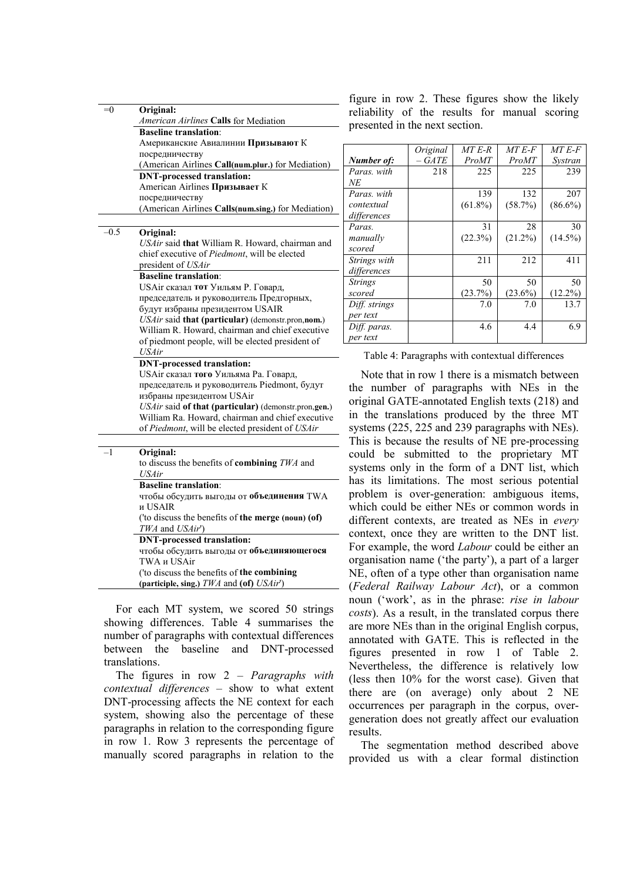| $= 0$            | Original:                                                                                           |
|------------------|-----------------------------------------------------------------------------------------------------|
|                  | American Airlines Calls for Mediation                                                               |
|                  | <b>Baseline translation:</b>                                                                        |
|                  | Американские Авиалинии Призывают К                                                                  |
|                  | посредничеству                                                                                      |
|                  | (American Airlines Call(num.plur.) for Mediation)                                                   |
|                  | <b>DNT-processed translation:</b>                                                                   |
|                  | American Airlines Призывает К                                                                       |
|                  | посредничеству                                                                                      |
|                  | (American Airlines Calls(num.sing.) for Mediation)                                                  |
|                  |                                                                                                     |
| $\overline{0.5}$ | Original:                                                                                           |
|                  | USAir said that William R. Howard, chairman and                                                     |
|                  | chief executive of Piedmont, will be elected                                                        |
|                  | president of USAir                                                                                  |
|                  | <b>Baseline translation:</b>                                                                        |
|                  | USAir сказал тот Уильям Р. Говард,                                                                  |
|                  | председатель и руководитель Предгорных,                                                             |
|                  | будут избраны президентом USAIR                                                                     |
|                  | USAir said that (particular) (demonstr.pron,nom.)                                                   |
|                  | William R. Howard, chairman and chief executive                                                     |
|                  | of piedmont people, will be elected president of                                                    |
|                  | <b>USAir</b>                                                                                        |
|                  | <b>DNT-processed translation:</b>                                                                   |
|                  | USAir сказал того Уильяма Ра. Говард,                                                               |
|                  | председатель и руководитель Piedmont, будут                                                         |
|                  | избраны президентом USAir                                                                           |
|                  | USAir said of that (particular) (demonstr.pron.gen.)                                                |
|                  | William Ra. Howard, chairman and chief executive<br>of Piedmont, will be elected president of USAir |
|                  |                                                                                                     |
| $-1$             |                                                                                                     |
|                  | Original:                                                                                           |
|                  | to discuss the benefits of combining TWA and<br>USAir                                               |
|                  | <b>Baseline translation:</b>                                                                        |
|                  | чтобы обсудить выгоды от объединения TWA                                                            |
|                  | и USAIR                                                                                             |
|                  | ('to discuss the benefits of the merge (noun) (of)                                                  |
|                  | TWA and USAir')                                                                                     |
|                  | <b>DNT-processed translation:</b>                                                                   |
|                  | чтобы обсудить выгоды от объединяющегося                                                            |
|                  | <b>TWA и USAir</b>                                                                                  |
|                  | ('to discuss the benefits of the combining                                                          |
|                  | (participle, sing.) $TWA$ and (of) $USAir'$ )                                                       |

For each MT system, we scored 50 strings showing differences. Table 4 summarises the number of paragraphs with contextual differences between the baseline and DNT-processed translations.

The figures in row 2 – *Paragraphs with contextual differences* – show to what extent DNT-processing affects the NE context for each system, showing also the percentage of these paragraphs in relation to the corresponding figure in row 1. Row 3 represents the percentage of manually scored paragraphs in relation to the

figure in row 2. These figures show the likely reliability of the results for manual scoring presented in the next section.

|                | Original | MT E-R     | MT E-F     | MT E-F     |
|----------------|----------|------------|------------|------------|
| Number of:     | – GATE   | ProMT      | ProMT      | Systran    |
| Paras, with    | 218      | 225        | 225        | 239        |
| NΕ             |          |            |            |            |
| Paras, with    |          | 139        | 132        | 207        |
| contextual     |          | $(61.8\%)$ | (58.7%)    | $(86.6\%)$ |
| differences    |          |            |            |            |
| Paras.         |          | 31         | 28         | 30         |
| manually       |          | (22.3%)    | $(21.2\%)$ | $(14.5\%)$ |
| scored         |          |            |            |            |
| Strings with   |          | 211        | 212        | 411        |
| differences    |          |            |            |            |
| <b>Strings</b> |          | 50         | 50         | 50         |
| scored         |          | (23.7%)    | $(23.6\%)$ | $(12.2\%)$ |
| Diff. strings  |          | 7.0        | 7.0        | 13.7       |
| per text       |          |            |            |            |
| Diff. paras.   |          | 4.6        | 4.4        | 6.9        |
| per text       |          |            |            |            |

Table 4: Paragraphs with contextual differences

Note that in row 1 there is a mismatch between the number of paragraphs with NEs in the original GATE-annotated English texts (218) and in the translations produced by the three MT systems (225, 225 and 239 paragraphs with NEs). This is because the results of NE pre-processing could be submitted to the proprietary MT systems only in the form of a DNT list, which has its limitations. The most serious potential problem is over-generation: ambiguous items, which could be either NEs or common words in different contexts, are treated as NEs in *every* context, once they are written to the DNT list. For example, the word *Labour* could be either an organisation name ('the party'), a part of a larger NE, often of a type other than organisation name (*Federal Railway Labour Act*), or a common noun ('work', as in the phrase: *rise in labour costs*). As a result, in the translated corpus there are more NEs than in the original English corpus, annotated with GATE. This is reflected in the figures presented in row 1 of Table 2. Nevertheless, the difference is relatively low (less then 10% for the worst case). Given that there are (on average) only about 2 NE occurrences per paragraph in the corpus, overgeneration does not greatly affect our evaluation results.

The segmentation method described above provided us with a clear formal distinction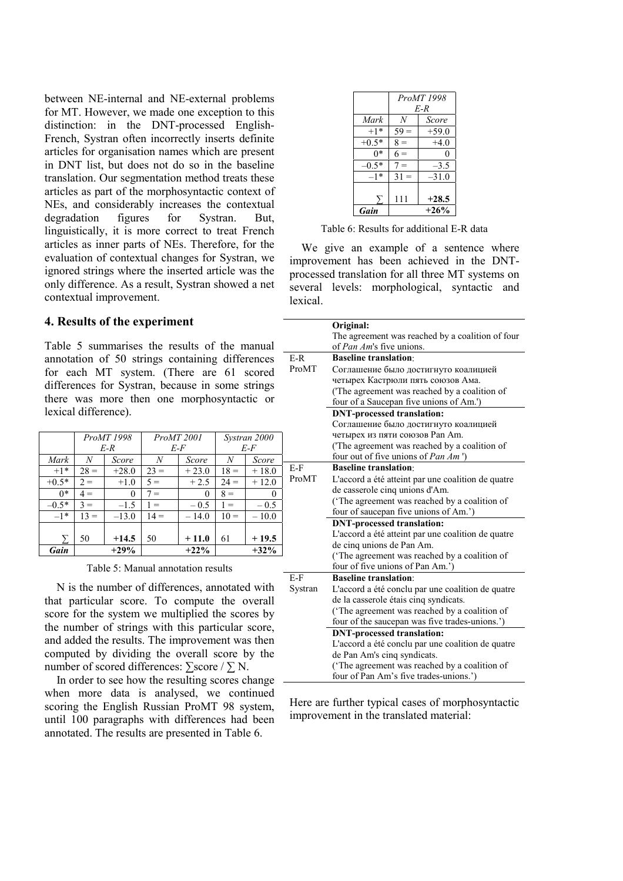between NE-internal and NE-external problems for MT. However, we made one exception to this distinction: in the DNT-processed English-French, Systran often incorrectly inserts definite articles for organisation names which are present in DNT list, but does not do so in the baseline translation. Our segmentation method treats these articles as part of the morphosyntactic context of NEs, and considerably increases the contextual degradation figures for Systran. But, linguistically, it is more correct to treat French articles as inner parts of NEs. Therefore, for the evaluation of contextual changes for Systran, we ignored strings where the inserted article was the only difference. As a result, Systran showed a net contextual improvement.

#### **4. Results of the experiment**

Table 5 summarises the results of the manual annotation of 50 strings containing differences for each MT system. (There are 61 scored differences for Systran, because in some strings there was more then one morphosyntactic or lexical difference).

|         |               | ProMT 1998 |        | ProMT 2001 |        | Systran 2000 |                |
|---------|---------------|------------|--------|------------|--------|--------------|----------------|
|         |               | $E-R$      |        | $E$ - $F$  |        | $E$ - $F$    |                |
| Mark    | N             | Score      | N      | Score      | N      | Score        |                |
| $+1*$   | $28 =$        | $+28.0$    | $23 =$ | $+23.0$    | $18 =$ | $+18.0$      | E.             |
| $+0.5*$ | $2 =$         | $+1.0$     | $5 =$  | $+2.5$     | $24 =$ | $+12.0$      | P <sub>1</sub> |
| $0*$    | $4 =$         | $_{0}$     | $7 =$  | $_{0}$     | $8 =$  | $\theta$     |                |
| $-0.5*$ | ٩<br>$\equiv$ | $-1.5$     | $=$    | $-0.5$     | $=$    | $-0.5$       |                |
| $-1*$   | $13 =$        | $-13.0$    | $14 =$ | $-14.0$    | $10 =$ | $-10.0$      |                |
|         |               |            |        |            |        |              |                |
| ᡪ       | 50            | $+14.5$    | 50     | $+11.0$    | 61     | $+19.5$      |                |
| Gain    |               | $+29%$     |        | $+22%$     |        | $+32%$       |                |

Table 5: Manual annotation results

N is the number of differences, annotated with that particular score. To compute the overall score for the system we multiplied the scores by the number of strings with this particular score, and added the results. The improvement was then computed by dividing the overall score by the number of scored differences:  $\sum$ score / $\sum$  N.

In order to see how the resulting scores change when more data is analysed, we continued scoring the English Russian ProMT 98 system, until 100 paragraphs with differences had been annotated. The results are presented in Table 6.

|         | ProMT 1998 |         |  |
|---------|------------|---------|--|
|         |            | $E-R$   |  |
| Mark    | N          | Score   |  |
| $+1*$   | $59 =$     | $+59.0$ |  |
| $+0.5*$ | $8 =$      | $+4.0$  |  |
| 0*      | $6 =$      | 0       |  |
| $-0.5*$ | $7 =$      | $-3.5$  |  |
| $-1*$   | $31 =$     | $-31.0$ |  |
|         |            |         |  |
| $\sum$  | 111        | $+28.5$ |  |
| Gain    |            | $+26%$  |  |

Table 6: Results for additional E-R data

We give an example of a sentence where improvement has been achieved in the DNTprocessed translation for all three MT systems on several levels: morphological, syntactic and lexical.

|         | Original:                                          |
|---------|----------------------------------------------------|
|         | The agreement was reached by a coalition of four   |
|         | of <i>Pan Am's</i> five unions.                    |
| E-R     | <b>Baseline translation:</b>                       |
| ProMT   | Соглашение было достигнуто коалицией               |
|         | четырех Кастрюли пять союзов Ама.                  |
|         | (The agreement was reached by a coalition of       |
|         | four of a Saucepan five unions of Am.')            |
|         | <b>DNT-processed translation:</b>                  |
|         | Соглашение было достигнуто коалицией               |
|         | четырех из пяти союзов Pan Am.                     |
|         | ('The agreement was reached by a coalition of      |
|         | four out of five unions of <i>Pan Am</i> ')        |
| E-F     | <b>Baseline translation:</b>                       |
| ProMT   | L'accord a été atteint par une coalition de quatre |
|         | de casserole cinq unions d'Am.                     |
|         | ('The agreement was reached by a coalition of      |
|         | four of saucepan five unions of Am.')              |
|         | <b>DNT-processed translation:</b>                  |
|         | L'accord a été atteint par une coalition de quatre |
|         | de cinq unions de Pan Am.                          |
|         | ('The agreement was reached by a coalition of      |
|         | four of five unions of Pan Am.')                   |
| E-F     | <b>Baseline translation:</b>                       |
| Systran | L'accord a été conclu par une coalition de quatre  |
|         | de la casserole étais cinq syndicats.              |
|         | ('The agreement was reached by a coalition of      |
|         | four of the saucepan was five trades-unions.')     |
|         | <b>DNT-processed translation:</b>                  |
|         | L'accord a été conclu par une coalition de quatre  |
|         | de Pan Am's cinq syndicats.                        |
|         | ('The agreement was reached by a coalition of      |
|         | four of Pan Am's five trades-unions.')             |

Here are further typical cases of morphosyntactic improvement in the translated material: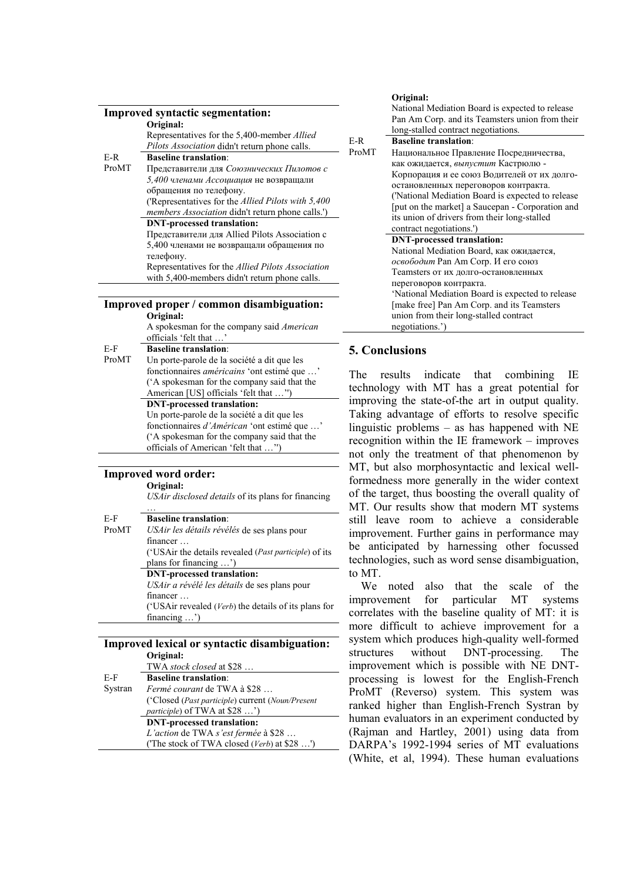|       | <b>Improved syntactic segmentation:</b>                    |
|-------|------------------------------------------------------------|
|       | Original:                                                  |
|       | Representatives for the 5,400-member <i>Allied</i>         |
|       | <i>Pilots Association</i> didn't return phone calls.       |
| E-R   | <b>Baseline translation</b>                                |
| ProMT | Представители для Союзнических Пилотов с                   |
|       | 5,400 членами Ассоциация не возвращали                     |
|       | обращения по телефону.                                     |
|       | ('Representatives for the <i>Allied Pilots with</i> 5,400) |
|       | <i>members Association</i> didn't return phone calls.')    |
|       | <b>DNT-processed translation:</b>                          |
|       | Представители для Allied Pilots Association с              |
|       | 5,400 членами не возвращали обращения по                   |
|       | телефону.                                                  |
|       | Representatives for the <i>Allied Pilots Association</i>   |
|       | with 5,400-members didn't return phone calls.              |

#### **Improved proper / common disambiguation: Original:**

A spokesman for the company said *American* officials 'felt that ...

E-F **Baseline translation**: ProMT Un porte-parole de la société a dit que les fonctionnaires *américains* 'ont estimé que …' ('A spokesman for the company said that the American [US] officials 'felt that …'') **DNT-processed translation:** Un porte-parole de la société a dit que les

fonctionnaires *d'Américan* 'ont estimé que …' ('A spokesman for the company said that the officials of American 'felt that …'')

#### **Improved word order:**

…

**Original:**

*USAir disclosed details* of its plans for financing

| E-F   | <b>Baseline translation:</b>                                   |
|-------|----------------------------------------------------------------|
| ProMT | USAir les détails révélés de ses plans pour                    |
|       | financer                                                       |
|       | ('USAir the details revealed ( <i>Past participle</i> ) of its |
|       | plans for financing $\ldots$ )                                 |
|       | <b>DNT-processed translation:</b>                              |
|       | USAir a révélé les détails de ses plans pour                   |
|       | financer                                                       |
|       | ('USAir revealed ( $Verb$ ) the details of its plans for       |
|       | financing $\ldots$ )                                           |
|       |                                                                |

#### **Improved lexical or syntactic disambiguation: Original:**

|         | TWA stock closed at \$28                          |
|---------|---------------------------------------------------|
| $E-F$   | <b>Baseline translation:</b>                      |
| Systran | Fermé courant de TWA à \$28                       |
|         | ('Closed (Past participle) current (Noun/Present) |
|         | <i>participle</i> ) of TWA at \$28 ')             |
|         | <b>DNT-processed translation:</b>                 |
|         | L'action de TWA s'est fermée à \$28               |
|         | ('The stock of TWA closed (Verb) at \$28 ')       |

#### **Original:**

|       | National Mediation Board is expected to release   |
|-------|---------------------------------------------------|
|       | Pan Am Corp. and its Teamsters union from their   |
|       | long-stalled contract negotiations.               |
| E-R   | <b>Baseline translation:</b>                      |
| ProMT | Национальное Правление Посредничества,            |
|       | как ожидается, выпустит Кастрюлю -                |
|       | Корпорация и ее союз Водителей от их долго-       |
|       | остановленных переговоров контракта.              |
|       | ('National Mediation Board is expected to release |
|       | [put on the market] a Saucepan - Corporation and  |
|       | its union of drivers from their long-stalled      |
|       | contract negotiations.')                          |
|       | <b>DNT-processed translation:</b>                 |
|       | National Mediation Board, как ожидается,          |
|       | освободит Рап Ат Согр. И его союз                 |
|       | Teamsters от их долго-остановленных               |
|       | переговоров контракта.                            |
|       | 'National Mediation Board is expected to release  |
|       | [make free] Pan Am Corp. and its Teamsters        |
|       | union from their long-stalled contract            |
|       | negotiations.')                                   |

# **5. Conclusions**

The results indicate that combining IE technology with MT has a great potential for improving the state-of-the art in output quality. Taking advantage of efforts to resolve specific linguistic problems – as has happened with NE recognition within the IE framework – improves not only the treatment of that phenomenon by MT, but also morphosyntactic and lexical wellformedness more generally in the wider context of the target, thus boosting the overall quality of MT. Our results show that modern MT systems still leave room to achieve a considerable improvement. Further gains in performance may be anticipated by harnessing other focussed technologies, such as word sense disambiguation, to MT.

We noted also that the scale of the improvement for particular MT systems correlates with the baseline quality of MT: it is more difficult to achieve improvement for a system which produces high-quality well-formed structures without DNT-processing. The improvement which is possible with NE DNTprocessing is lowest for the English-French ProMT (Reverso) system. This system was ranked higher than English-French Systran by human evaluators in an experiment conducted by (Rajman and Hartley, 2001) using data from DARPA's 1992-1994 series of MT evaluations (White, et al, 1994). These human evaluations